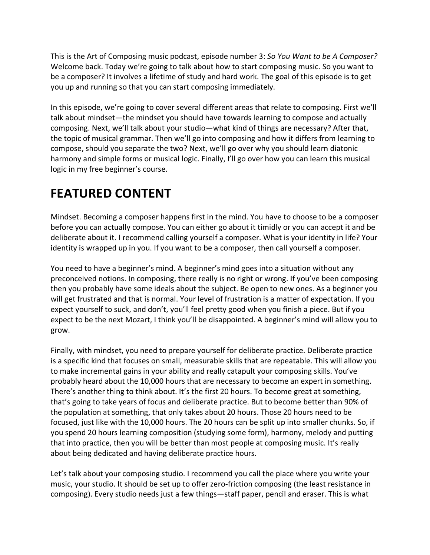This is the Art of Composing music podcast, episode number 3: *So You Want to be A Composer?* Welcome back. Today we're going to talk about how to start composing music. So you want to be a composer? It involves a lifetime of study and hard work. The goal of this episode is to get you up and running so that you can start composing immediately.

In this episode, we're going to cover several different areas that relate to composing. First we'll talk about mindset—the mindset you should have towards learning to compose and actually composing. Next, we'll talk about your studio—what kind of things are necessary? After that, the topic of musical grammar. Then we'll go into composing and how it differs from learning to compose, should you separate the two? Next, we'll go over why you should learn diatonic harmony and simple forms or musical logic. Finally, I'll go over how you can learn this musical logic in my free beginner's course.

## **FEATURED CONTENT**

Mindset. Becoming a composer happens first in the mind. You have to choose to be a composer before you can actually compose. You can either go about it timidly or you can accept it and be deliberate about it. I recommend calling yourself a composer. What is your identity in life? Your identity is wrapped up in you. If you want to be a composer, then call yourself a composer.

You need to have a beginner's mind. A beginner's mind goes into a situation without any preconceived notions. In composing, there really is no right or wrong. If you've been composing then you probably have some ideals about the subject. Be open to new ones. As a beginner you will get frustrated and that is normal. Your level of frustration is a matter of expectation. If you expect yourself to suck, and don't, you'll feel pretty good when you finish a piece. But if you expect to be the next Mozart, I think you'll be disappointed. A beginner's mind will allow you to grow.

Finally, with mindset, you need to prepare yourself for deliberate practice. Deliberate practice is a specific kind that focuses on small, measurable skills that are repeatable. This will allow you to make incremental gains in your ability and really catapult your composing skills. You've probably heard about the 10,000 hours that are necessary to become an expert in something. There's another thing to think about. It's the first 20 hours. To become great at something, that's going to take years of focus and deliberate practice. But to become better than 90% of the population at something, that only takes about 20 hours. Those 20 hours need to be focused, just like with the 10,000 hours. The 20 hours can be split up into smaller chunks. So, if you spend 20 hours learning composition (studying some form), harmony, melody and putting that into practice, then you will be better than most people at composing music. It's really about being dedicated and having deliberate practice hours.

Let's talk about your composing studio. I recommend you call the place where you write your music, your studio. It should be set up to offer zero-friction composing (the least resistance in composing). Every studio needs just a few things—staff paper, pencil and eraser. This is what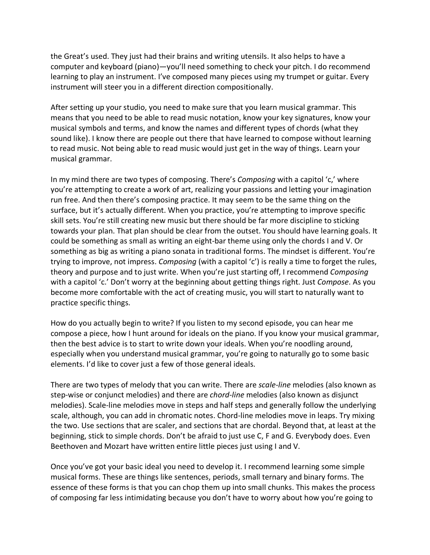the Great's used. They just had their brains and writing utensils. It also helps to have a computer and keyboard (piano)—you'll need something to check your pitch. I do recommend learning to play an instrument. I've composed many pieces using my trumpet or guitar. Every instrument will steer you in a different direction compositionally.

After setting up your studio, you need to make sure that you learn musical grammar. This means that you need to be able to read music notation, know your key signatures, know your musical symbols and terms, and know the names and different types of chords (what they sound like). I know there are people out there that have learned to compose without learning to read music. Not being able to read music would just get in the way of things. Learn your musical grammar.

In my mind there are two types of composing. There's *Composing* with a capitol 'c,' where you're attempting to create a work of art, realizing your passions and letting your imagination run free. And then there's composing practice. It may seem to be the same thing on the surface, but it's actually different. When you practice, you're attempting to improve specific skill sets. You're still creating new music but there should be far more discipline to sticking towards your plan. That plan should be clear from the outset. You should have learning goals. It could be something as small as writing an eight-bar theme using only the chords I and V. Or something as big as writing a piano sonata in traditional forms. The mindset is different. You're trying to improve, not impress. *Composing* (with a capitol 'c') is really a time to forget the rules, theory and purpose and to just write. When you're just starting off, I recommend *Composing* with a capitol 'c.' Don't worry at the beginning about getting things right. Just *Compose*. As you become more comfortable with the act of creating music, you will start to naturally want to practice specific things.

How do you actually begin to write? If you listen to my second episode, you can hear me compose a piece, how I hunt around for ideals on the piano. If you know your musical grammar, then the best advice is to start to write down your ideals. When you're noodling around, especially when you understand musical grammar, you're going to naturally go to some basic elements. I'd like to cover just a few of those general ideals.

There are two types of melody that you can write. There are *scale-line* melodies (also known as step-wise or conjunct melodies) and there are *chord-line* melodies (also known as disjunct melodies). Scale-line melodies move in steps and half steps and generally follow the underlying scale, although, you can add in chromatic notes. Chord-line melodies move in leaps. Try mixing the two. Use sections that are scaler, and sections that are chordal. Beyond that, at least at the beginning, stick to simple chords. Don't be afraid to just use C, F and G. Everybody does. Even Beethoven and Mozart have written entire little pieces just using I and V.

Once you've got your basic ideal you need to develop it. I recommend learning some simple musical forms. These are things like sentences, periods, small ternary and binary forms. The essence of these forms is that you can chop them up into small chunks. This makes the process of composing far less intimidating because you don't have to worry about how you're going to